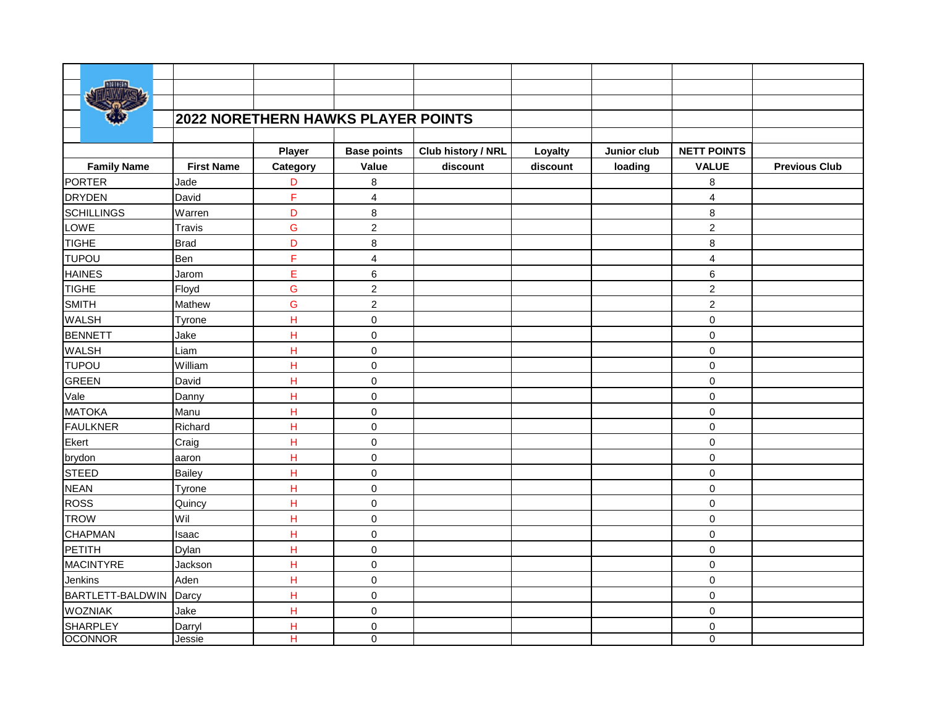|                         |                   | 2022 NORETHERN HAWKS PLAYER POINTS |                         |                    |          |             |                         |                      |
|-------------------------|-------------------|------------------------------------|-------------------------|--------------------|----------|-------------|-------------------------|----------------------|
|                         |                   |                                    |                         |                    |          |             |                         |                      |
|                         |                   | Player                             | <b>Base points</b>      | Club history / NRL | Loyalty  | Junior club | <b>NETT POINTS</b>      |                      |
| <b>Family Name</b>      | <b>First Name</b> | Category                           | Value                   | discount           | discount | loading     | <b>VALUE</b>            | <b>Previous Club</b> |
| <b>PORTER</b>           | Jade              | D                                  | 8                       |                    |          |             | 8                       |                      |
| <b>DRYDEN</b>           | David             | F                                  | $\overline{4}$          |                    |          |             | $\overline{\mathbf{4}}$ |                      |
| <b>SCHILLINGS</b>       | Warren            | D                                  | 8                       |                    |          |             | 8                       |                      |
| LOWE                    | Travis            | G                                  | $\overline{2}$          |                    |          |             | $\overline{c}$          |                      |
| TIGHE                   | <b>Brad</b>       | D                                  | 8                       |                    |          |             | 8                       |                      |
| <b>TUPOU</b>            | Ben               | F                                  | $\overline{\mathbf{4}}$ |                    |          |             | 4                       |                      |
| <b>HAINES</b>           | Jarom             | Ė                                  | 6                       |                    |          |             | 6                       |                      |
| <b>TIGHE</b>            | Floyd             | Ġ                                  | $\overline{2}$          |                    |          |             | $\overline{2}$          |                      |
| <b>SMITH</b>            | Mathew            | G                                  | $\overline{2}$          |                    |          |             | $\overline{2}$          |                      |
| WALSH                   | Tyrone            | H                                  | 0                       |                    |          |             | 0                       |                      |
| <b>BENNETT</b>          | Jake              | H                                  | 0                       |                    |          |             | 0                       |                      |
| <b>WALSH</b>            | Liam              | H                                  | 0                       |                    |          |             | $\mathbf 0$             |                      |
| <b>TUPOU</b>            | William           | $\overline{H}$                     | 0                       |                    |          |             | $\mathbf 0$             |                      |
| GREEN                   | David             | $\overline{H}$                     | 0                       |                    |          |             | $\pmb{0}$               |                      |
| Vale                    | Danny             | H                                  | 0                       |                    |          |             | $\mathbf 0$             |                      |
| MATOKA                  | Manu              | H                                  | 0                       |                    |          |             | $\mathbf 0$             |                      |
| FAULKNER                | Richard           | H                                  | $\mathsf 0$             |                    |          |             | $\mathbf 0$             |                      |
| Ekert                   | Craig             | H                                  | 0                       |                    |          |             | $\mathbf 0$             |                      |
| brydon                  | aaron             | H                                  | 0                       |                    |          |             | $\pmb{0}$               |                      |
| STEED                   | Bailey            | H                                  | 0                       |                    |          |             | $\mathbf 0$             |                      |
| <b>NEAN</b>             | Tyrone            | H                                  | 0                       |                    |          |             | 0                       |                      |
| ROSS                    | Quincy            | H                                  | 0                       |                    |          |             | 0                       |                      |
| <b>TROW</b>             | Wil               | Н                                  | 0                       |                    |          |             | 0                       |                      |
| <b>CHAPMAN</b>          | Isaac             | H                                  | 0                       |                    |          |             | 0                       |                      |
| PETITH                  | Dylan             | H                                  | 0                       |                    |          |             | $\mathbf 0$             |                      |
| MACINTYRE               | Jackson           | H                                  | 0                       |                    |          |             | $\pmb{0}$               |                      |
| Jenkins                 | Aden              | H                                  | 0                       |                    |          |             | $\mathbf 0$             |                      |
| <b>BARTLETT-BALDWIN</b> | Darcy             | H                                  | 0                       |                    |          |             | $\pmb{0}$               |                      |
| <b>WOZNIAK</b>          | Jake              | H                                  | 0                       |                    |          |             | $\mathbf 0$             |                      |
| <b>SHARPLEY</b>         | Darryl            | H                                  | 0                       |                    |          |             | 0                       |                      |
| <b>OCONNOR</b>          | Jessie            | Η                                  | 0                       |                    |          |             | 0                       |                      |